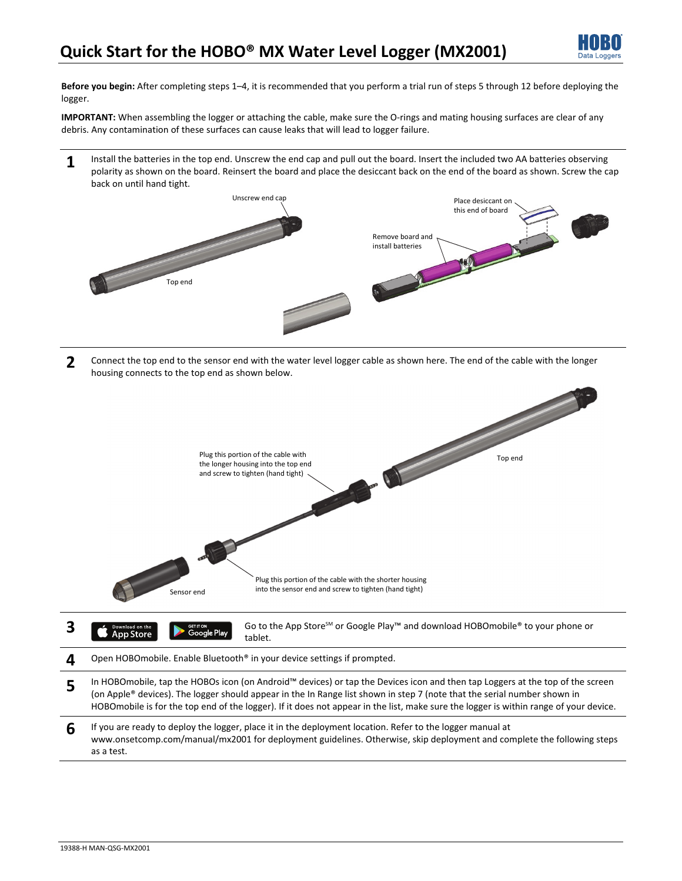

**Before you begin:** After completing steps 1–4, it is recommended that you perform a trial run of steps 5 through 12 before deploying the logger.

**IMPORTANT:** When assembling the logger or attaching the cable, make sure the O-rings and mating housing surfaces are clear of any debris. Any contamination of these surfaces can cause leaks that will lead to logger failure.

**1** Install the batteries in the top end. Unscrew the end cap and pull out the board. Insert the included two AA batteries observing polarity as shown on the board. Reinsert the board and place the desiccant back on the end of the board as shown. Screw the cap back on until hand tight.



**2** Connect the top end to the sensor end with the water level logger cable as shown here. The end of the cable with the longer housing connects to the top end as shown below.



| $\boldsymbol{4}$<br>Open HOBOmobile. Enable Bluetooth <sup>®</sup> in your device settings if prompted. |  |
|---------------------------------------------------------------------------------------------------------|--|
|---------------------------------------------------------------------------------------------------------|--|

- **5** In HOBOmobile, tap the HOBOs icon (on Android™ devices) or tap the Devices icon and then tap Loggers at the top of the screen (on Apple® devices). The logger should appear in the In Range list shown in step 7 (note that the serial number shown in HOBOmobile is for the top end of the logger). If it does not appear in the list, make sure the logger is within range of your device.
- **6** If you are ready to deploy the logger, place it in the deployment location. Refer to the logger manual at www.onsetcomp.com/manual/mx2001 for deployment guidelines. Otherwise, skip deployment and complete the following steps as a test.